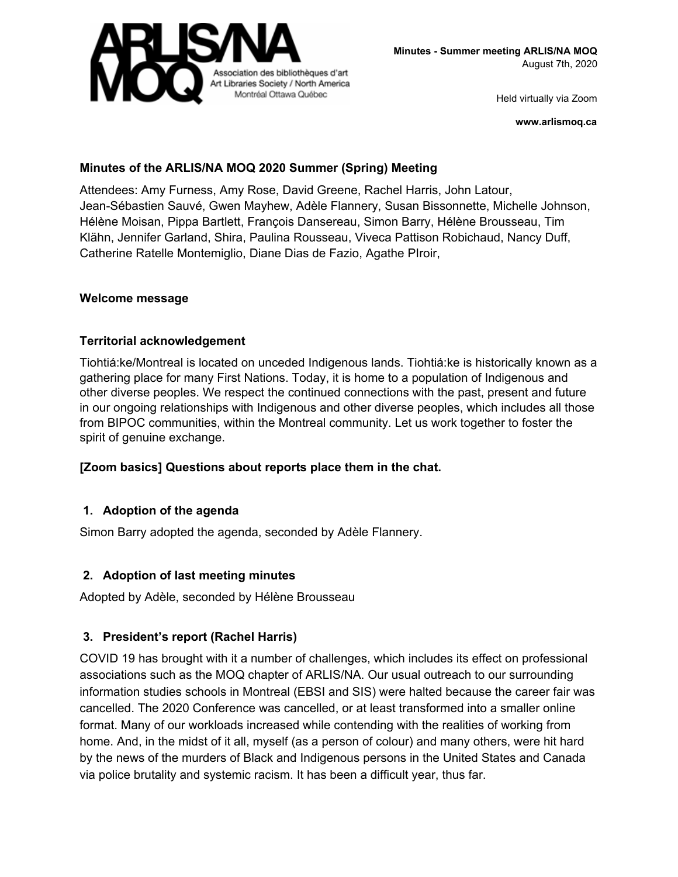

**www.arlismoq.ca**

## **Minutes of the ARLIS/NA MOQ 2020 Summer (Spring) Meeting**

Attendees: Amy Furness, Amy Rose, David Greene, Rachel Harris, John Latour, Jean-Sébastien Sauvé, Gwen Mayhew, Adèle Flannery, Susan Bissonnette, Michelle Johnson, Hélène Moisan, Pippa Bartlett, François Dansereau, Simon Barry, Hélène Brousseau, Tim Klähn, Jennifer Garland, Shira, Paulina Rousseau, Viveca Pattison Robichaud, Nancy Duff, Catherine Ratelle Montemiglio, Diane Dias de Fazio, Agathe PIroir,

#### **Welcome message**

## **Territorial acknowledgement**

Tiohtiá:ke/Montreal is located on unceded Indigenous lands. Tiohtiá:ke is historically known as a gathering place for many First Nations. Today, it is home to a population of Indigenous and other diverse peoples. We respect the continued connections with the past, present and future in our ongoing relationships with Indigenous and other diverse peoples, which includes all those from BIPOC communities, within the Montreal community. Let us work together to foster the spirit of genuine exchange.

## **[Zoom basics] Questions about reports place them in the chat.**

## **1. Adoption of the agenda**

Simon Barry adopted the agenda, seconded by Adèle Flannery.

## **2. Adoption of last meeting minutes**

Adopted by Adèle, seconded by Hélène Brousseau

## **3. President's report (Rachel Harris)**

COVID 19 has brought with it a number of challenges, which includes its effect on professional associations such as the MOQ chapter of ARLIS/NA. Our usual outreach to our surrounding information studies schools in Montreal (EBSI and SIS) were halted because the career fair was cancelled. The 2020 Conference was cancelled, or at least transformed into a smaller online format. Many of our workloads increased while contending with the realities of working from home. And, in the midst of it all, myself (as a person of colour) and many others, were hit hard by the news of the murders of Black and Indigenous persons in the United States and Canada via police brutality and systemic racism. It has been a difficult year, thus far.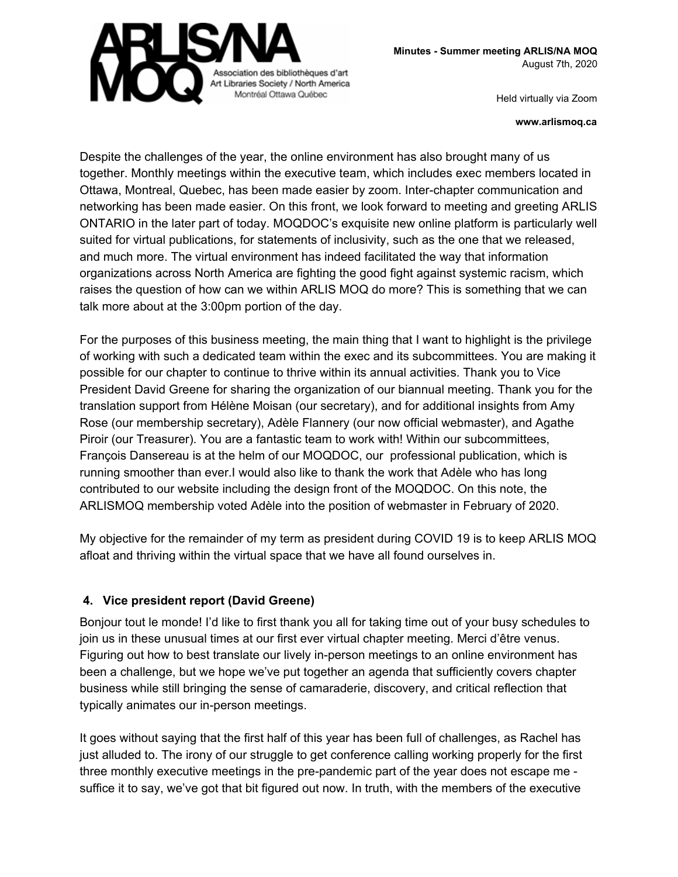

**Minutes - Summer meeting ARLIS/NA MOQ** August 7th, 2020

Held virtually via Zoom

**www.arlismoq.ca**

Despite the challenges of the year, the online environment has also brought many of us together. Monthly meetings within the executive team, which includes exec members located in Ottawa, Montreal, Quebec, has been made easier by zoom. Inter-chapter communication and networking has been made easier. On this front, we look forward to meeting and greeting ARLIS ONTARIO in the later part of today. MOQDOC's exquisite new online platform is particularly well suited for virtual publications, for statements of inclusivity, such as the one that we released, and much more. The virtual environment has indeed facilitated the way that information organizations across North America are fighting the good fight against systemic racism, which raises the question of how can we within ARLIS MOQ do more? This is something that we can talk more about at the 3:00pm portion of the day.

For the purposes of this business meeting, the main thing that I want to highlight is the privilege of working with such a dedicated team within the exec and its subcommittees. You are making it possible for our chapter to continue to thrive within its annual activities. Thank you to Vice President David Greene for sharing the organization of our biannual meeting. Thank you for the translation support from Hélène Moisan (our secretary), and for additional insights from Amy Rose (our membership secretary), Adèle Flannery (our now official webmaster), and Agathe Piroir (our Treasurer). You are a fantastic team to work with! Within our subcommittees, François Dansereau is at the helm of our MOQDOC, our professional publication, which is running smoother than ever.I would also like to thank the work that Adèle who has long contributed to our website including the design front of the MOQDOC. On this note, the ARLISMOQ membership voted Adèle into the position of webmaster in February of 2020.

My objective for the remainder of my term as president during COVID 19 is to keep ARLIS MOQ afloat and thriving within the virtual space that we have all found ourselves in.

# **4. Vice president report (David Greene)**

Bonjour tout le monde! I'd like to first thank you all for taking time out of your busy schedules to join us in these unusual times at our first ever virtual chapter meeting. Merci d'être venus. Figuring out how to best translate our lively in-person meetings to an online environment has been a challenge, but we hope we've put together an agenda that sufficiently covers chapter business while still bringing the sense of camaraderie, discovery, and critical reflection that typically animates our in-person meetings.

It goes without saying that the first half of this year has been full of challenges, as Rachel has just alluded to. The irony of our struggle to get conference calling working properly for the first three monthly executive meetings in the pre-pandemic part of the year does not escape me suffice it to say, we've got that bit figured out now. In truth, with the members of the executive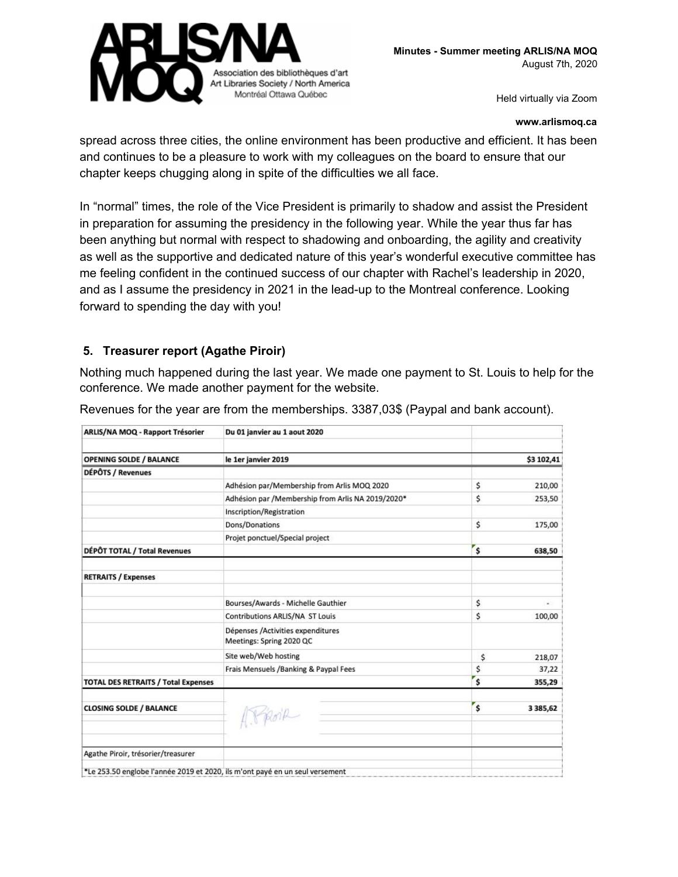

#### **www.arlismoq.ca**

spread across three cities, the online environment has been productive and efficient. It has been and continues to be a pleasure to work with my colleagues on the board to ensure that our chapter keeps chugging along in spite of the difficulties we all face.

In "normal" times, the role of the Vice President is primarily to shadow and assist the President in preparation for assuming the presidency in the following year. While the year thus far has been anything but normal with respect to shadowing and onboarding, the agility and creativity as well as the supportive and dedicated nature of this year's wonderful executive committee has me feeling confident in the continued success of our chapter with Rachel's leadership in 2020, and as I assume the presidency in 2021 in the lead-up to the Montreal conference. Looking forward to spending the day with you!

## **5. Treasurer report (Agathe Piroir)**

Nothing much happened during the last year. We made one payment to St. Louis to help for the conference. We made another payment for the website.

| ARLIS/NA MOQ - Rapport Trésorier                                             | Du 01 janvier au 1 aout 2020                                  |    |               |
|------------------------------------------------------------------------------|---------------------------------------------------------------|----|---------------|
| <b>OPENING SOLDE / BALANCE</b>                                               | le 1er janvier 2019                                           |    | \$3 102,41    |
| DÉPÔTS / Revenues                                                            |                                                               |    |               |
|                                                                              | Adhésion par/Membership from Arlis MOQ 2020                   | \$ | 210,00        |
|                                                                              | Adhésion par /Membership from Arlis NA 2019/2020*             | \$ | 253,50        |
|                                                                              | Inscription/Registration                                      |    |               |
|                                                                              | Dons/Donations                                                | \$ | 175,00        |
|                                                                              | Projet ponctuel/Special project                               |    |               |
| DÉPÔT TOTAL / Total Revenues                                                 |                                                               | \$ | 638,50        |
| <b>RETRAITS / Expenses</b>                                                   |                                                               |    |               |
|                                                                              | Bourses/Awards - Michelle Gauthier                            | \$ | ×,            |
|                                                                              | <b>Contributions ARLIS/NA ST Louis</b>                        | \$ | 100,00        |
|                                                                              | Dépenses /Activities expenditures<br>Meetings: Spring 2020 QC |    |               |
|                                                                              | Site web/Web hosting                                          | \$ | 218,07        |
|                                                                              | Frais Mensuels /Banking & Paypal Fees                         | \$ | 37,22         |
| <b>TOTAL DES RETRAITS / Total Expenses</b>                                   |                                                               | Ś  | 355,29        |
| <b>CLOSING SOLDE / BALANCE</b>                                               | APPOIR                                                        | \$ | 3 3 8 5 , 6 2 |
| Agathe Piroir, trésorier/treasurer                                           |                                                               |    |               |
|                                                                              |                                                               |    |               |
| *Le 253.50 englobe l'année 2019 et 2020, ils m'ont payé en un seul versement |                                                               |    |               |

Revenues for the year are from the memberships. 3387,03\$ (Paypal and bank account).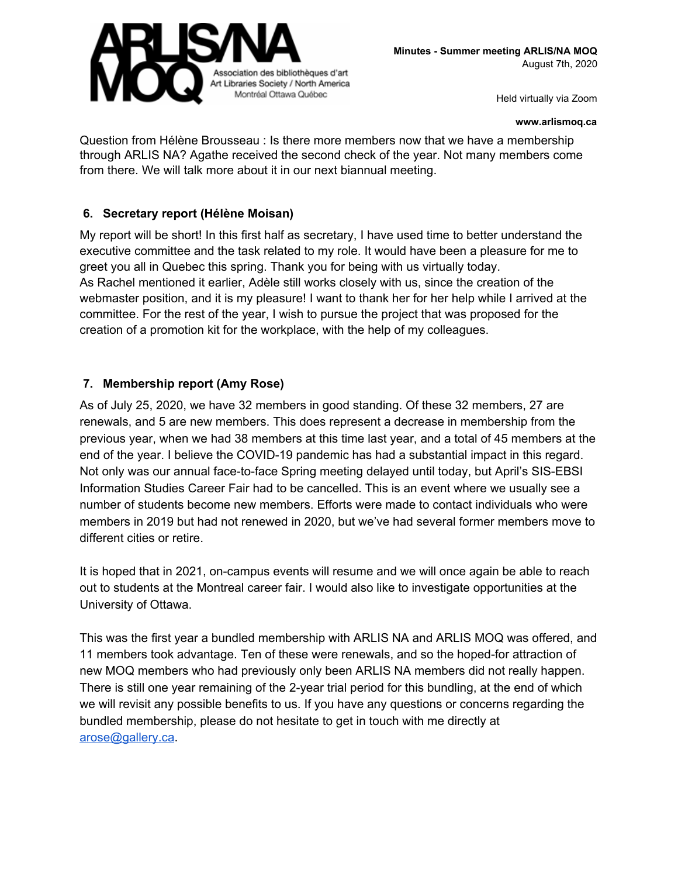

#### **www.arlismoq.ca**

Question from Hélène Brousseau : Is there more members now that we have a membership through ARLIS NA? Agathe received the second check of the year. Not many members come from there. We will talk more about it in our next biannual meeting.

#### **6. Secretary report (Hélène Moisan)**

My report will be short! In this first half as secretary, I have used time to better understand the executive committee and the task related to my role. It would have been a pleasure for me to greet you all in Quebec this spring. Thank you for being with us virtually today. As Rachel mentioned it earlier, Adèle still works closely with us, since the creation of the webmaster position, and it is my pleasure! I want to thank her for her help while I arrived at the committee. For the rest of the year, I wish to pursue the project that was proposed for the creation of a promotion kit for the workplace, with the help of my colleagues.

## **7. Membership report (Amy Rose)**

As of July 25, 2020, we have 32 members in good standing. Of these 32 members, 27 are renewals, and 5 are new members. This does represent a decrease in membership from the previous year, when we had 38 members at this time last year, and a total of 45 members at the end of the year. I believe the COVID-19 pandemic has had a substantial impact in this regard. Not only was our annual face-to-face Spring meeting delayed until today, but April's SIS-EBSI Information Studies Career Fair had to be cancelled. This is an event where we usually see a number of students become new members. Efforts were made to contact individuals who were members in 2019 but had not renewed in 2020, but we've had several former members move to different cities or retire.

It is hoped that in 2021, on-campus events will resume and we will once again be able to reach out to students at the Montreal career fair. I would also like to investigate opportunities at the University of Ottawa.

This was the first year a bundled membership with ARLIS NA and ARLIS MOQ was offered, and 11 members took advantage. Ten of these were renewals, and so the hoped-for attraction of new MOQ members who had previously only been ARLIS NA members did not really happen. There is still one year remaining of the 2-year trial period for this bundling, at the end of which we will revisit any possible benefits to us. If you have any questions or concerns regarding the bundled membership, please do not hesitate to get in touch with me directly at [arose@gallery.ca.](mailto:arose@gallery.ca)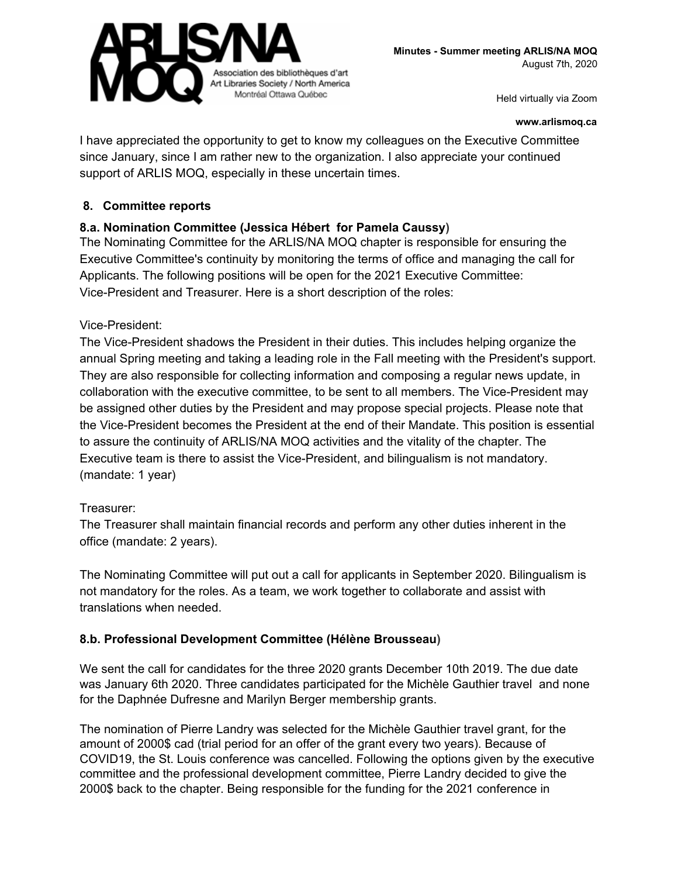

#### **www.arlismoq.ca**

I have appreciated the opportunity to get to know my colleagues on the Executive Committee since January, since I am rather new to the organization. I also appreciate your continued support of ARLIS MOQ, especially in these uncertain times.

#### **8. Committee reports**

#### **8.a. Nomination Committee (Jessica Hébert for Pamela Caussy)**

The Nominating Committee for the ARLIS/NA MOQ chapter is responsible for ensuring the Executive Committee's continuity by monitoring the terms of office and managing the call for Applicants. The following positions will be open for the 2021 Executive Committee: Vice-President and Treasurer. Here is a short description of the roles:

#### Vice-President:

The Vice-President shadows the President in their duties. This includes helping organize the annual Spring meeting and taking a leading role in the Fall meeting with the President's support. They are also responsible for collecting information and composing a regular news update, in collaboration with the executive committee, to be sent to all members. The Vice-President may be assigned other duties by the President and may propose special projects. Please note that the Vice-President becomes the President at the end of their Mandate. This position is essential to assure the continuity of ARLIS/NA MOQ activities and the vitality of the chapter. The Executive team is there to assist the Vice-President, and bilingualism is not mandatory. (mandate: 1 year)

#### Treasurer:

The Treasurer shall maintain financial records and perform any other duties inherent in the office (mandate: 2 years).

The Nominating Committee will put out a call for applicants in September 2020. Bilingualism is not mandatory for the roles. As a team, we work together to collaborate and assist with translations when needed.

#### **8.b. Professional Development Committee (Hélène Brousseau)**

We sent the call for candidates for the three 2020 grants December 10th 2019. The due date was January 6th 2020. Three candidates participated for the Michèle Gauthier travel and none for the Daphnée Dufresne and Marilyn Berger membership grants.

The nomination of Pierre Landry was selected for the Michèle Gauthier travel grant, for the amount of 2000\$ cad (trial period for an offer of the grant every two years). Because of COVID19, the St. Louis conference was cancelled. Following the options given by the executive committee and the professional development committee, Pierre Landry decided to give the 2000\$ back to the chapter. Being responsible for the funding for the 2021 conference in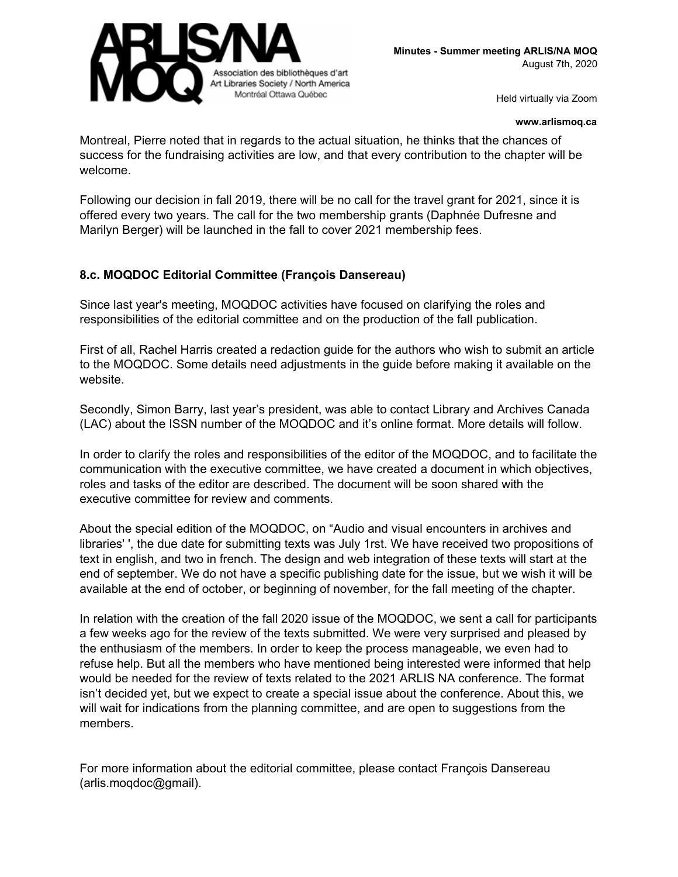

#### **www.arlismoq.ca**

Montreal, Pierre noted that in regards to the actual situation, he thinks that the chances of success for the fundraising activities are low, and that every contribution to the chapter will be welcome.

Following our decision in fall 2019, there will be no call for the travel grant for 2021, since it is offered every two years. The call for the two membership grants (Daphnée Dufresne and Marilyn Berger) will be launched in the fall to cover 2021 membership fees.

#### **8.c. MOQDOC Editorial Committee (François Dansereau)**

Since last year's meeting, MOQDOC activities have focused on clarifying the roles and responsibilities of the editorial committee and on the production of the fall publication.

First of all, Rachel Harris created a redaction guide for the authors who wish to submit an article to the MOQDOC. Some details need adjustments in the guide before making it available on the website.

Secondly, Simon Barry, last year's president, was able to contact Library and Archives Canada (LAC) about the ISSN number of the MOQDOC and it's online format. More details will follow.

In order to clarify the roles and responsibilities of the editor of the MOQDOC, and to facilitate the communication with the executive committee, we have created a document in which objectives, roles and tasks of the editor are described. The document will be soon shared with the executive committee for review and comments.

About the special edition of the MOQDOC, on "Audio and visual encounters in archives and libraries' ', the due date for submitting texts was July 1rst. We have received two propositions of text in english, and two in french. The design and web integration of these texts will start at the end of september. We do not have a specific publishing date for the issue, but we wish it will be available at the end of october, or beginning of november, for the fall meeting of the chapter.

In relation with the creation of the fall 2020 issue of the MOQDOC, we sent a call for participants a few weeks ago for the review of the texts submitted. We were very surprised and pleased by the enthusiasm of the members. In order to keep the process manageable, we even had to refuse help. But all the members who have mentioned being interested were informed that help would be needed for the review of texts related to the 2021 ARLIS NA conference. The format isn't decided yet, but we expect to create a special issue about the conference. About this, we will wait for indications from the planning committee, and are open to suggestions from the members.

For more information about the editorial committee, please contact François Dansereau (arlis.moqdoc@gmail).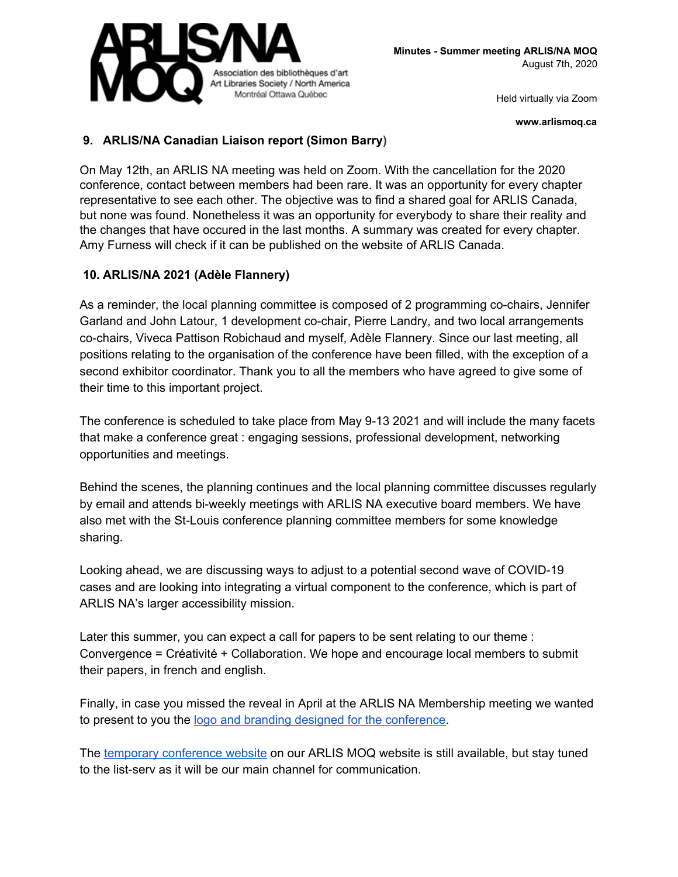

**www.arlismoq.ca**

## **9. ARLIS/NA Canadian Liaison report (Simon Barry)**

On May 12th, an ARLIS NA meeting was held on Zoom. With the cancellation for the 2020 conference, contact between members had been rare. It was an opportunity for every chapter representative to see each other. The objective was to find a shared goal for ARLIS Canada, but none was found. Nonetheless it was an opportunity for everybody to share their reality and the changes that have occured in the last months. A summary was created for every chapter. Amy Furness will check if it can be published on the website of ARLIS Canada.

## **10. ARLIS/NA 2021 (Adèle Flannery)**

As a reminder, the local planning committee is composed of 2 programming co-chairs, Jennifer Garland and John Latour, 1 development co-chair, Pierre Landry, and two local arrangements co-chairs, Viveca Pattison Robichaud and myself, Adèle Flannery. Since our last meeting, all positions relating to the organisation of the conference have been filled, with the exception of a second exhibitor coordinator. Thank you to all the members who have agreed to give some of their time to this important project.

The conference is scheduled to take place from May 9-13 2021 and will include the many facets that make a conference great : engaging sessions, professional development, networking opportunities and meetings.

Behind the scenes, the planning continues and the local planning committee discusses regularly by email and attends bi-weekly meetings with ARLIS NA executive board members. We have also met with the St-Louis conference planning committee members for some knowledge sharing.

Looking ahead, we are discussing ways to adjust to a potential second wave of COVID-19 cases and are looking into integrating a virtual component to the conference, which is part of ARLIS NA's larger accessibility mission.

Later this summer, you can expect a call for papers to be sent relating to our theme : Convergence = Créativité + Collaboration. We hope and encourage local members to submit their papers, in french and english.

Finally, in case you missed the reveal in April at the ARLIS NA Membership meeting we wanted to present to you the logo and branding designed for the [conference.](https://drive.google.com/file/d/1VJBwttUdY2Gt2OIpb9kwgxYnMlOGiVAU/view?usp=sharing)

The temporary [conference](http://arlismoq.ca/arlis-2021/) website on our ARLIS MOQ website is still available, but stay tuned to the list-serv as it will be our main channel for communication.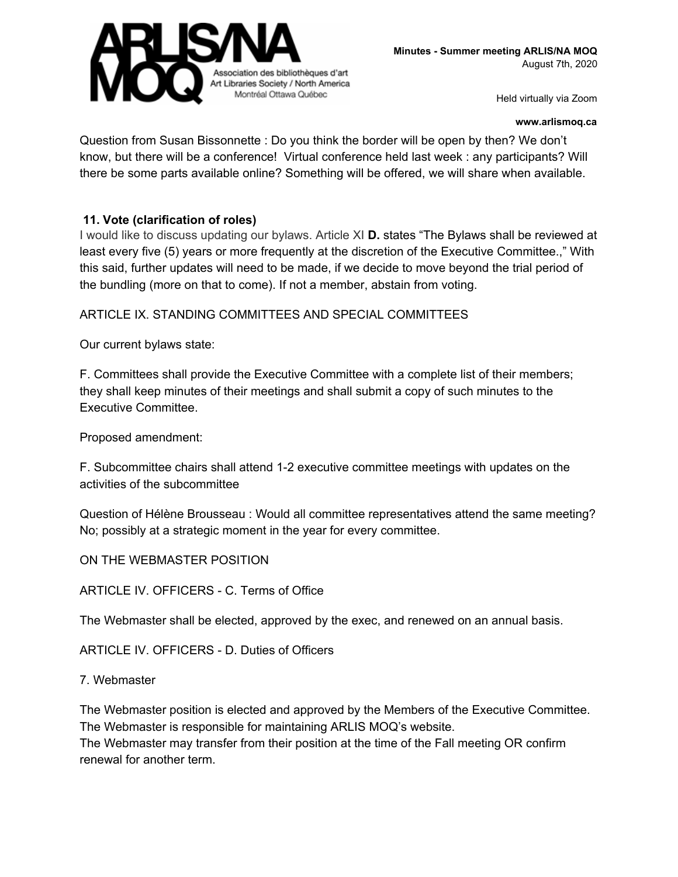

#### **www.arlismoq.ca**

Question from Susan Bissonnette : Do you think the border will be open by then? We don't know, but there will be a conference! Virtual conference held last week : any participants? Will there be some parts available online? Something will be offered, we will share when available.

#### **11. Vote (clarification of roles)**

I would like to discuss updating our bylaws. Article XI **D.** states "The Bylaws shall be reviewed at least every five (5) years or more frequently at the discretion of the Executive Committee.," With this said, further updates will need to be made, if we decide to move beyond the trial period of the bundling (more on that to come). If not a member, abstain from voting.

ARTICLE IX. STANDING COMMITTEES AND SPECIAL COMMITTEES

Our current bylaws state:

F. Committees shall provide the Executive Committee with a complete list of their members; they shall keep minutes of their meetings and shall submit a copy of such minutes to the Executive Committee.

Proposed amendment:

F. Subcommittee chairs shall attend 1-2 executive committee meetings with updates on the activities of the subcommittee

Question of Hélène Brousseau : Would all committee representatives attend the same meeting? No; possibly at a strategic moment in the year for every committee.

ON THE WEBMASTER POSITION

ARTICLE IV. OFFICERS - C. Terms of Office

The Webmaster shall be elected, approved by the exec, and renewed on an annual basis.

ARTICLE IV. OFFICERS - D. Duties of Officers

7. Webmaster

The Webmaster position is elected and approved by the Members of the Executive Committee. The Webmaster is responsible for maintaining ARLIS MOQ's website. The Webmaster may transfer from their position at the time of the Fall meeting OR confirm renewal for another term.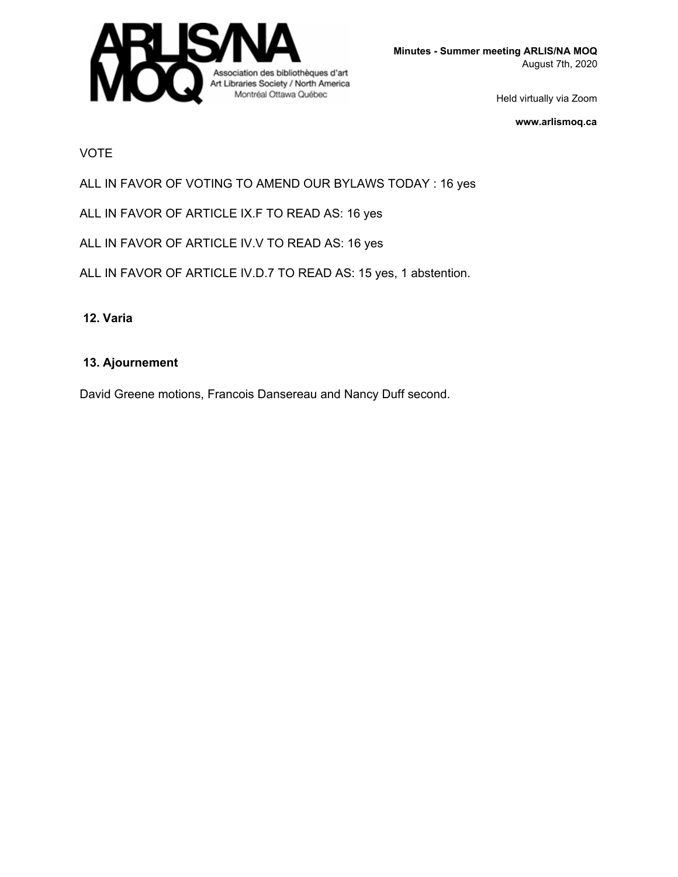

**Minutes - Summer meeting ARLIS/NA MOQ** August 7th, 2020

Held virtually via Zoom

**www.arlismoq.ca**

#### VOTE

ALL IN FAVOR OF VOTING TO AMEND OUR BYLAWS TODAY : 16 yes

ALL IN FAVOR OF ARTICLE IX.F TO READ AS: 16 yes

ALL IN FAVOR OF ARTICLE IV.V TO READ AS: 16 yes

ALL IN FAVOR OF ARTICLE IV.D.7 TO READ AS: 15 yes, 1 abstention.

#### **12. Varia**

#### **13. Ajournement**

David Greene motions, Francois Dansereau and Nancy Duff second.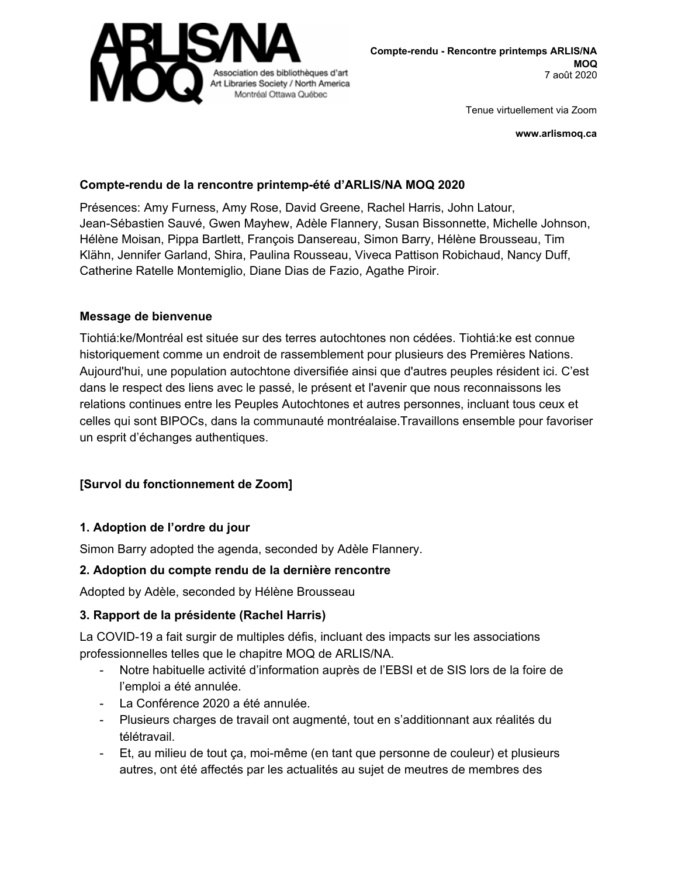

**www.arlismoq.ca**

## **Compte-rendu de la rencontre printemp-été d'ARLIS/NA MOQ 2020**

Présences: Amy Furness, Amy Rose, David Greene, Rachel Harris, John Latour, Jean-Sébastien Sauvé, Gwen Mayhew, Adèle Flannery, Susan Bissonnette, Michelle Johnson, Hélène Moisan, Pippa Bartlett, François Dansereau, Simon Barry, Hélène Brousseau, Tim Klähn, Jennifer Garland, Shira, Paulina Rousseau, Viveca Pattison Robichaud, Nancy Duff, Catherine Ratelle Montemiglio, Diane Dias de Fazio, Agathe Piroir.

#### **Message de bienvenue**

Tiohtiá:ke/Montréal est située sur des terres autochtones non cédées. Tiohtiá:ke est connue historiquement comme un endroit de rassemblement pour plusieurs des Premières Nations. Aujourd'hui, une population autochtone diversifiée ainsi que d'autres peuples résident ici. C'est dans le respect des liens avec le passé, le présent et l'avenir que nous reconnaissons les relations continues entre les Peuples Autochtones et autres personnes, incluant tous ceux et celles qui sont BIPOCs, dans la communauté montréalaise.Travaillons ensemble pour favoriser un esprit d'échanges authentiques.

## **[Survol du fonctionnement de Zoom]**

## **1. Adoption de l'ordre du jour**

Simon Barry adopted the agenda, seconded by Adèle Flannery.

## **2. Adoption du compte rendu de la dernière rencontre**

Adopted by Adèle, seconded by Hélène Brousseau

## **3. Rapport de la présidente (Rachel Harris)**

La COVID-19 a fait surgir de multiples défis, incluant des impacts sur les associations professionnelles telles que le chapitre MOQ de ARLIS/NA.

- Notre habituelle activité d'information auprès de l'EBSI et de SIS lors de la foire de l'emploi a été annulée.
- La Conférence 2020 a été annulée.
- Plusieurs charges de travail ont augmenté, tout en s'additionnant aux réalités du télétravail.
- Et, au milieu de tout ça, moi-même (en tant que personne de couleur) et plusieurs autres, ont été affectés par les actualités au sujet de meutres de membres des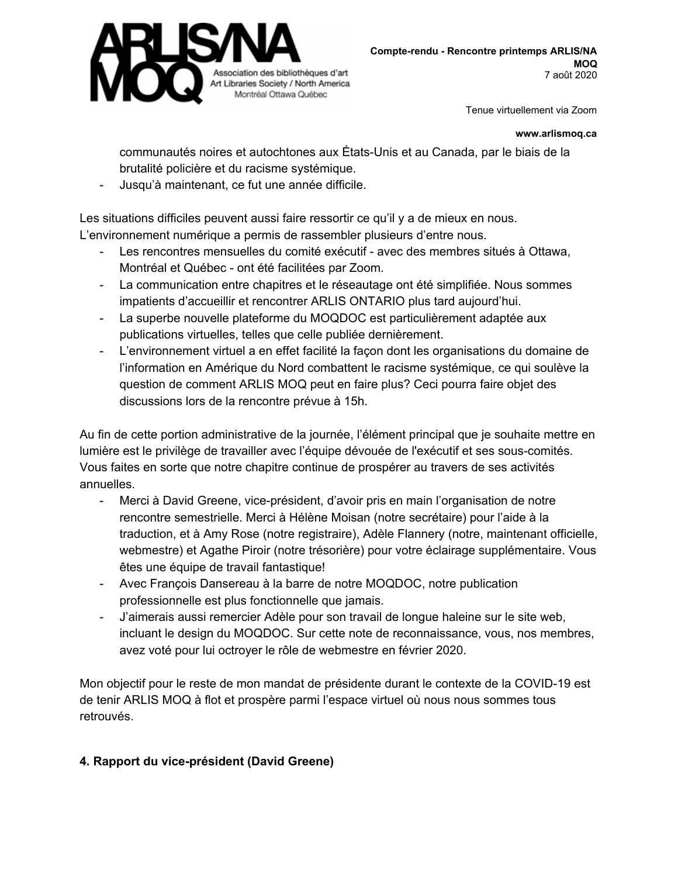

#### **www.arlismoq.ca**

communautés noires et autochtones aux États-Unis et au Canada, par le biais de la brutalité policière et du racisme systémique.

Jusqu'à maintenant, ce fut une année difficile.

Les situations difficiles peuvent aussi faire ressortir ce qu'il y a de mieux en nous. L'environnement numérique a permis de rassembler plusieurs d'entre nous.

- Les rencontres mensuelles du comité exécutif avec des membres situés à Ottawa, Montréal et Québec - ont été facilitées par Zoom.
- La communication entre chapitres et le réseautage ont été simplifiée. Nous sommes impatients d'accueillir et rencontrer ARLIS ONTARIO plus tard aujourd'hui.
- La superbe nouvelle plateforme du MOQDOC est particulièrement adaptée aux publications virtuelles, telles que celle publiée dernièrement.
- L'environnement virtuel a en effet facilité la façon dont les organisations du domaine de l'information en Amérique du Nord combattent le racisme systémique, ce qui soulève la question de comment ARLIS MOQ peut en faire plus? Ceci pourra faire objet des discussions lors de la rencontre prévue à 15h.

Au fin de cette portion administrative de la journée, l'élément principal que je souhaite mettre en lumière est le privilège de travailler avec l'équipe dévouée de l'exécutif et ses sous-comités. Vous faites en sorte que notre chapitre continue de prospérer au travers de ses activités annuelles.

- Merci à David Greene, vice-président, d'avoir pris en main l'organisation de notre rencontre semestrielle. Merci à Hélène Moisan (notre secrétaire) pour l'aide à la traduction, et à Amy Rose (notre registraire), Adèle Flannery (notre, maintenant officielle, webmestre) et Agathe Piroir (notre trésorière) pour votre éclairage supplémentaire. Vous êtes une équipe de travail fantastique!
- Avec François Dansereau à la barre de notre MOQDOC, notre publication professionnelle est plus fonctionnelle que jamais.
- J'aimerais aussi remercier Adèle pour son travail de longue haleine sur le site web, incluant le design du MOQDOC. Sur cette note de reconnaissance, vous, nos membres, avez voté pour lui octroyer le rôle de webmestre en février 2020.

Mon objectif pour le reste de mon mandat de présidente durant le contexte de la COVID-19 est de tenir ARLIS MOQ à flot et prospère parmi l'espace virtuel où nous nous sommes tous retrouvés.

# **4. Rapport du vice-président (David Greene)**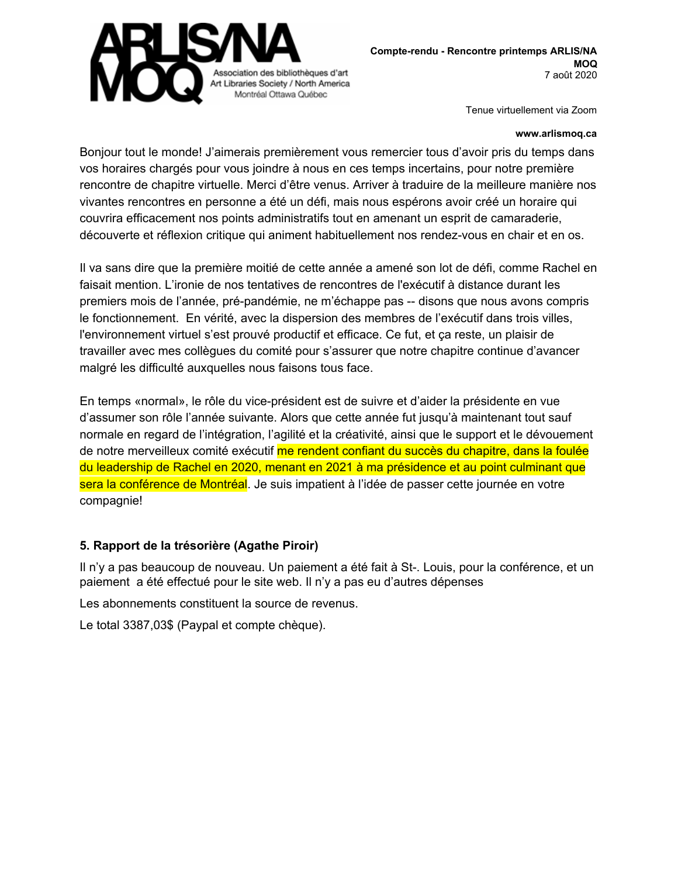

#### **www.arlismoq.ca**

Bonjour tout le monde! J'aimerais premièrement vous remercier tous d'avoir pris du temps dans vos horaires chargés pour vous joindre à nous en ces temps incertains, pour notre première rencontre de chapitre virtuelle. Merci d'être venus. Arriver à traduire de la meilleure manière nos vivantes rencontres en personne a été un défi, mais nous espérons avoir créé un horaire qui couvrira efficacement nos points administratifs tout en amenant un esprit de camaraderie, découverte et réflexion critique qui animent habituellement nos rendez-vous en chair et en os.

Il va sans dire que la première moitié de cette année a amené son lot de défi, comme Rachel en faisait mention. L'ironie de nos tentatives de rencontres de l'exécutif à distance durant les premiers mois de l'année, pré-pandémie, ne m'échappe pas -- disons que nous avons compris le fonctionnement. En vérité, avec la dispersion des membres de l'exécutif dans trois villes, l'environnement virtuel s'est prouvé productif et efficace. Ce fut, et ça reste, un plaisir de travailler avec mes collègues du comité pour s'assurer que notre chapitre continue d'avancer malgré les difficulté auxquelles nous faisons tous face.

En temps «normal», le rôle du vice-président est de suivre et d'aider la présidente en vue d'assumer son rôle l'année suivante. Alors que cette année fut jusqu'à maintenant tout sauf normale en regard de l'intégration, l'agilité et la créativité, ainsi que le support et le dévouement de notre merveilleux comité exécutif me rendent confiant du succès du chapitre, dans la foulée du leadership de Rachel en 2020, menant en 2021 à ma présidence et au point culminant que sera la conférence de Montréal. Je suis impatient à l'idée de passer cette journée en votre compagnie!

## **5. Rapport de la trésorière (Agathe Piroir)**

Il n'y a pas beaucoup de nouveau. Un paiement a été fait à St-. Louis, pour la conférence, et un paiement a été effectué pour le site web. Il n'y a pas eu d'autres dépenses

Les abonnements constituent la source de revenus.

Le total 3387,03\$ (Paypal et compte chèque).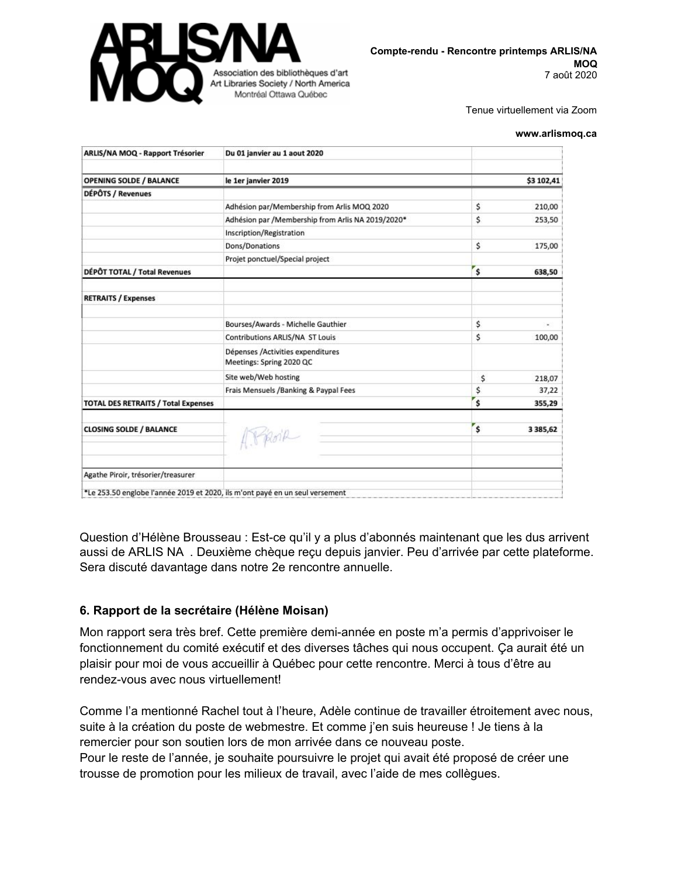

#### **www.arlismoq.ca**

| Du 01 janvier au 1 aout 2020                                  |              |               |
|---------------------------------------------------------------|--------------|---------------|
| le 1er janvier 2019                                           |              | \$3 102,41    |
|                                                               |              |               |
| Adhésion par/Membership from Arlis MOQ 2020                   | \$           | 210,00        |
| Adhésion par /Membership from Arlis NA 2019/2020*             | \$           | 253,50        |
| Inscription/Registration                                      |              |               |
| Dons/Donations                                                | \$           | 175,00        |
| Projet ponctuel/Special project                               |              |               |
|                                                               | \$           | 638,50        |
|                                                               |              |               |
| Bourses/Awards - Michelle Gauthier                            | \$           | ×,            |
| <b>Contributions ARLIS/NA ST Louis</b>                        | \$           | 100,00        |
| Dépenses /Activities expenditures<br>Meetings: Spring 2020 QC |              |               |
| Site web/Web hosting                                          | \$           | 218,07        |
| Frais Mensuels /Banking & Paypal Fees                         | \$           | 37,22         |
|                                                               | \$           | 355,29        |
| ATROIR                                                        | $\mathsf{s}$ | 3 3 8 5 , 6 2 |
|                                                               |              |               |
|                                                               |              |               |

Question d'Hélène Brousseau : Est-ce qu'il y a plus d'abonnés maintenant que les dus arrivent aussi de ARLIS NA . Deuxième chèque reçu depuis janvier. Peu d'arrivée par cette plateforme. Sera discuté davantage dans notre 2e rencontre annuelle.

#### **6. Rapport de la secrétaire (Hélène Moisan)**

Mon rapport sera très bref. Cette première demi-année en poste m'a permis d'apprivoiser le fonctionnement du comité exécutif et des diverses tâches qui nous occupent. Ça aurait été un plaisir pour moi de vous accueillir à Québec pour cette rencontre. Merci à tous d'être au rendez-vous avec nous virtuellement!

Comme l'a mentionné Rachel tout à l'heure, Adèle continue de travailler étroitement avec nous, suite à la création du poste de webmestre. Et comme j'en suis heureuse ! Je tiens à la remercier pour son soutien lors de mon arrivée dans ce nouveau poste.

Pour le reste de l'année, je souhaite poursuivre le projet qui avait été proposé de créer une trousse de promotion pour les milieux de travail, avec l'aide de mes collègues.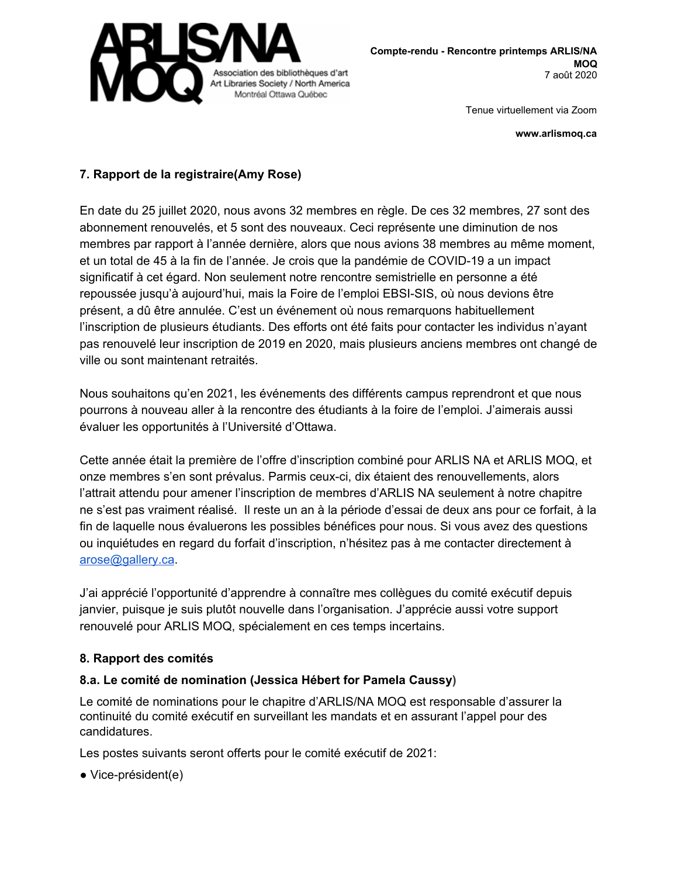

**www.arlismoq.ca**

# **7. Rapport de la registraire(Amy Rose)**

En date du 25 juillet 2020, nous avons 32 membres en règle. De ces 32 membres, 27 sont des abonnement renouvelés, et 5 sont des nouveaux. Ceci représente une diminution de nos membres par rapport à l'année dernière, alors que nous avions 38 membres au même moment, et un total de 45 à la fin de l'année. Je crois que la pandémie de COVID-19 a un impact significatif à cet égard. Non seulement notre rencontre semistrielle en personne a été repoussée jusqu'à aujourd'hui, mais la Foire de l'emploi EBSI-SIS, où nous devions être présent, a dû être annulée. C'est un événement où nous remarquons habituellement l'inscription de plusieurs étudiants. Des efforts ont été faits pour contacter les individus n'ayant pas renouvelé leur inscription de 2019 en 2020, mais plusieurs anciens membres ont changé de ville ou sont maintenant retraités.

Nous souhaitons qu'en 2021, les événements des différents campus reprendront et que nous pourrons à nouveau aller à la rencontre des étudiants à la foire de l'emploi. J'aimerais aussi évaluer les opportunités à l'Université d'Ottawa.

Cette année était la première de l'offre d'inscription combiné pour ARLIS NA et ARLIS MOQ, et onze membres s'en sont prévalus. Parmis ceux-ci, dix étaient des renouvellements, alors l'attrait attendu pour amener l'inscription de membres d'ARLIS NA seulement à notre chapitre ne s'est pas vraiment réalisé. Il reste un an à la période d'essai de deux ans pour ce forfait, à la fin de laquelle nous évaluerons les possibles bénéfices pour nous. Si vous avez des questions ou inquiétudes en regard du forfait d'inscription, n'hésitez pas à me contacter directement à [arose@gallery.ca.](mailto:arose@gallery.ca)

J'ai apprécié l'opportunité d'apprendre à connaître mes collègues du comité exécutif depuis janvier, puisque je suis plutôt nouvelle dans l'organisation. J'apprécie aussi votre support renouvelé pour ARLIS MOQ, spécialement en ces temps incertains.

## **8. Rapport des comités**

## **8.a. Le comité de nomination (Jessica Hébert for Pamela Caussy)**

Le comité de nominations pour le chapitre d'ARLIS/NA MOQ est responsable d'assurer la continuité du comité exécutif en surveillant les mandats et en assurant l'appel pour des candidatures.

Les postes suivants seront offerts pour le comité exécutif de 2021:

● Vice-président(e)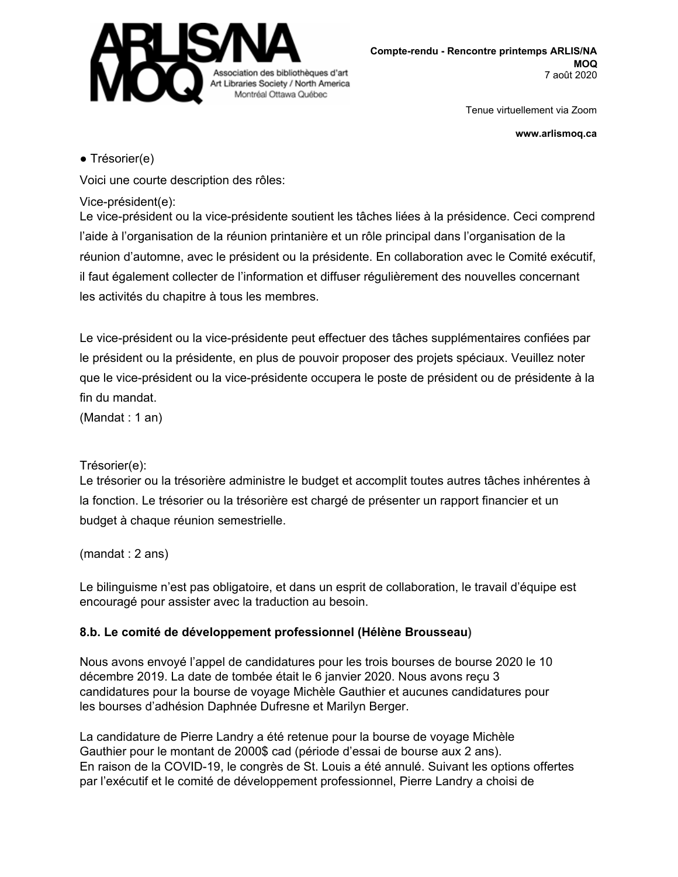

**www.arlismoq.ca**

## ● Trésorier(e)

Voici une courte description des rôles:

## Vice-président(e):

Le vice-président ou la vice-présidente soutient les tâches liées à la présidence. Ceci comprend l'aide à l'organisation de la réunion printanière et un rôle principal dans l'organisation de la réunion d'automne, avec le président ou la présidente. En collaboration avec le Comité exécutif, il faut également collecter de l'information et diffuser régulièrement des nouvelles concernant les activités du chapitre à tous les membres.

Le vice-président ou la vice-présidente peut effectuer des tâches supplémentaires confiées par le président ou la présidente, en plus de pouvoir proposer des projets spéciaux. Veuillez noter que le vice-président ou la vice-présidente occupera le poste de président ou de présidente à la fin du mandat.

(Mandat : 1 an)

# Trésorier(e):

Le trésorier ou la trésorière administre le budget et accomplit toutes autres tâches inhérentes à la fonction. Le trésorier ou la trésorière est chargé de présenter un rapport financier et un budget à chaque réunion semestrielle.

(mandat : 2 ans)

Le bilinguisme n'est pas obligatoire, et dans un esprit de collaboration, le travail d'équipe est encouragé pour assister avec la traduction au besoin.

# **8.b. Le comité de développement professionnel (Hélène Brousseau)**

Nous avons envoyé l'appel de candidatures pour les trois bourses de bourse 2020 le 10 décembre 2019. La date de tombée était le 6 janvier 2020. Nous avons reçu 3 candidatures pour la bourse de voyage Michèle Gauthier et aucunes candidatures pour les bourses d'adhésion Daphnée Dufresne et Marilyn Berger.

La candidature de Pierre Landry a été retenue pour la bourse de voyage Michèle Gauthier pour le montant de 2000\$ cad (période d'essai de bourse aux 2 ans). En raison de la COVID-19, le congrès de St. Louis a été annulé. Suivant les options offertes par l'exécutif et le comité de développement professionnel, Pierre Landry a choisi de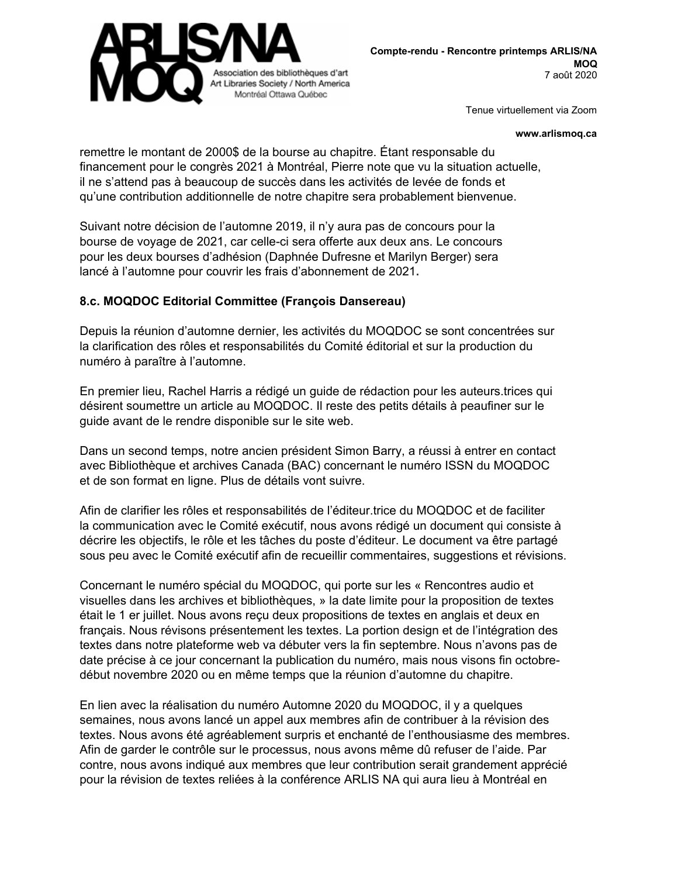

**www.arlismoq.ca**

remettre le montant de 2000\$ de la bourse au chapitre. Étant responsable du financement pour le congrès 2021 à Montréal, Pierre note que vu la situation actuelle, il ne s'attend pas à beaucoup de succès dans les activités de levée de fonds et qu'une contribution additionnelle de notre chapitre sera probablement bienvenue.

Suivant notre décision de l'automne 2019, il n'y aura pas de concours pour la bourse de voyage de 2021, car celle-ci sera offerte aux deux ans. Le concours pour les deux bourses d'adhésion (Daphnée Dufresne et Marilyn Berger) sera lancé à l'automne pour couvrir les frais d'abonnement de 2021**.**

#### **8.c. MOQDOC Editorial Committee (François Dansereau)**

Depuis la réunion d'automne dernier, les activités du MOQDOC se sont concentrées sur la clarification des rôles et responsabilités du Comité éditorial et sur la production du numéro à paraître à l'automne.

En premier lieu, Rachel Harris a rédigé un guide de rédaction pour les auteurs.trices qui désirent soumettre un article au MOQDOC. Il reste des petits détails à peaufiner sur le guide avant de le rendre disponible sur le site web.

Dans un second temps, notre ancien président Simon Barry, a réussi à entrer en contact avec Bibliothèque et archives Canada (BAC) concernant le numéro ISSN du MOQDOC et de son format en ligne. Plus de détails vont suivre.

Afin de clarifier les rôles et responsabilités de l'éditeur.trice du MOQDOC et de faciliter la communication avec le Comité exécutif, nous avons rédigé un document qui consiste à décrire les objectifs, le rôle et les tâches du poste d'éditeur. Le document va être partagé sous peu avec le Comité exécutif afin de recueillir commentaires, suggestions et révisions.

Concernant le numéro spécial du MOQDOC, qui porte sur les « Rencontres audio et visuelles dans les archives et bibliothèques, » la date limite pour la proposition de textes était le 1 er juillet. Nous avons reçu deux propositions de textes en anglais et deux en français. Nous révisons présentement les textes. La portion design et de l'intégration des textes dans notre plateforme web va débuter vers la fin septembre. Nous n'avons pas de date précise à ce jour concernant la publication du numéro, mais nous visons fin octobredébut novembre 2020 ou en même temps que la réunion d'automne du chapitre.

En lien avec la réalisation du numéro Automne 2020 du MOQDOC, il y a quelques semaines, nous avons lancé un appel aux membres afin de contribuer à la révision des textes. Nous avons été agréablement surpris et enchanté de l'enthousiasme des membres. Afin de garder le contrôle sur le processus, nous avons même dû refuser de l'aide. Par contre, nous avons indiqué aux membres que leur contribution serait grandement apprécié pour la révision de textes reliées à la conférence ARLIS NA qui aura lieu à Montréal en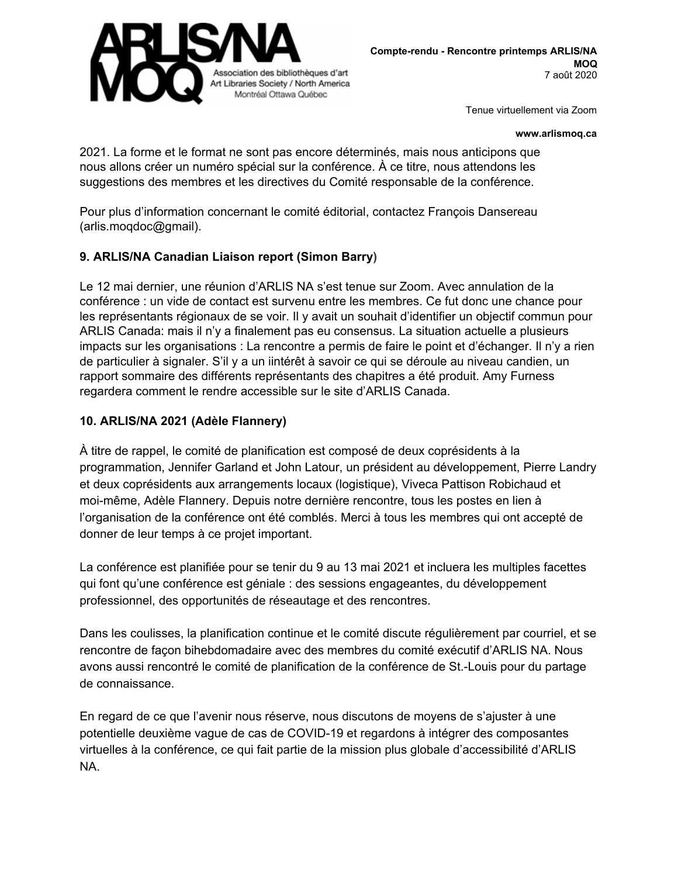

#### **www.arlismoq.ca**

2021. La forme et le format ne sont pas encore déterminés, mais nous anticipons que nous allons créer un numéro spécial sur la conférence. À ce titre, nous attendons les suggestions des membres et les directives du Comité responsable de la conférence.

Pour plus d'information concernant le comité éditorial, contactez François Dansereau (arlis.moqdoc@gmail).

#### **9. ARLIS/NA Canadian Liaison report (Simon Barry)**

Le 12 mai dernier, une réunion d'ARLIS NA s'est tenue sur Zoom. Avec annulation de la conférence : un vide de contact est survenu entre les membres. Ce fut donc une chance pour les représentants régionaux de se voir. Il y avait un souhait d'identifier un objectif commun pour ARLIS Canada: mais il n'y a finalement pas eu consensus. La situation actuelle a plusieurs impacts sur les organisations : La rencontre a permis de faire le point et d'échanger. Il n'y a rien de particulier à signaler. S'il y a un iintérêt à savoir ce qui se déroule au niveau candien, un rapport sommaire des différents représentants des chapitres a été produit. Amy Furness regardera comment le rendre accessible sur le site d'ARLIS Canada.

#### **10. ARLIS/NA 2021 (Adèle Flannery)**

À titre de rappel, le comité de planification est composé de deux coprésidents à la programmation, Jennifer Garland et John Latour, un président au développement, Pierre Landry et deux coprésidents aux arrangements locaux (logistique), Viveca Pattison Robichaud et moi-même, Adèle Flannery. Depuis notre dernière rencontre, tous les postes en lien à l'organisation de la conférence ont été comblés. Merci à tous les membres qui ont accepté de donner de leur temps à ce projet important.

La conférence est planifiée pour se tenir du 9 au 13 mai 2021 et incluera les multiples facettes qui font qu'une conférence est géniale : des sessions engageantes, du développement professionnel, des opportunités de réseautage et des rencontres.

Dans les coulisses, la planification continue et le comité discute régulièrement par courriel, et se rencontre de façon bihebdomadaire avec des membres du comité exécutif d'ARLIS NA. Nous avons aussi rencontré le comité de planification de la conférence de St.-Louis pour du partage de connaissance.

En regard de ce que l'avenir nous réserve, nous discutons de moyens de s'ajuster à une potentielle deuxième vague de cas de COVID-19 et regardons à intégrer des composantes virtuelles à la conférence, ce qui fait partie de la mission plus globale d'accessibilité d'ARLIS NA.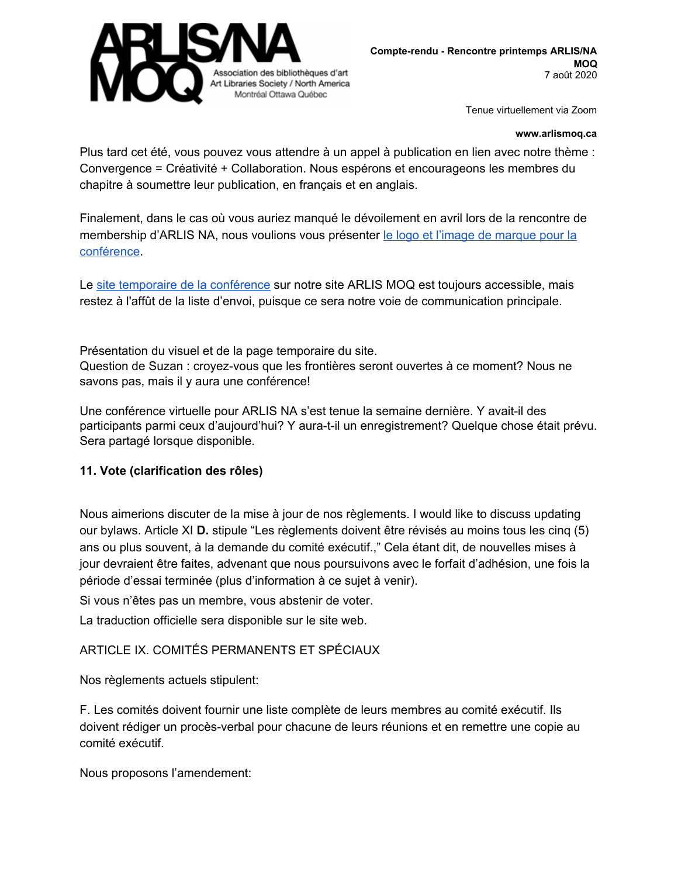

#### **www.arlismoq.ca**

Plus tard cet été, vous pouvez vous attendre à un appel à publication en lien avec notre thème : Convergence = Créativité + Collaboration. Nous espérons et encourageons les membres du chapitre à soumettre leur publication, en français et en anglais.

Finalement, dans le cas où vous auriez manqué le dévoilement en avril lors de la rencontre de membership d'ARLIS NA, nous voulions vous présenter le logo et l'image de [marque](https://drive.google.com/file/d/1VJBwttUdY2Gt2OIpb9kwgxYnMlOGiVAU/view?usp=sharing) pour la [conférence.](https://drive.google.com/file/d/1VJBwttUdY2Gt2OIpb9kwgxYnMlOGiVAU/view?usp=sharing)

Le site temporaire de la [conférence](http://arlismoq.ca/arlis-2021/) sur notre site ARLIS MOQ est toujours accessible, mais restez à l'affût de la liste d'envoi, puisque ce sera notre voie de communication principale.

Présentation du visuel et de la page temporaire du site. Question de Suzan : croyez-vous que les frontières seront ouvertes à ce moment? Nous ne savons pas, mais il y aura une conférence!

Une conférence virtuelle pour ARLIS NA s'est tenue la semaine dernière. Y avait-il des participants parmi ceux d'aujourd'hui? Y aura-t-il un enregistrement? Quelque chose était prévu. Sera partagé lorsque disponible.

## **11. Vote (clarification des rôles)**

Nous aimerions discuter de la mise à jour de nos règlements. I would like to discuss updating our bylaws. Article XI **D.** stipule "Les règlements doivent être révisés au moins tous les cinq (5) ans ou plus souvent, à la demande du comité exécutif.," Cela étant dit, de nouvelles mises à jour devraient être faites, advenant que nous poursuivons avec le forfait d'adhésion, une fois la période d'essai terminée (plus d'information à ce sujet à venir).

Si vous n'êtes pas un membre, vous abstenir de voter.

La traduction officielle sera disponible sur le site web.

## ARTICLE IX. COMITÉS PERMANENTS ET SPÉCIAUX

Nos règlements actuels stipulent:

F. Les comités doivent fournir une liste complète de leurs membres au comité exécutif. Ils doivent rédiger un procès-verbal pour chacune de leurs réunions et en remettre une copie au comité exécutif.

Nous proposons l'amendement: